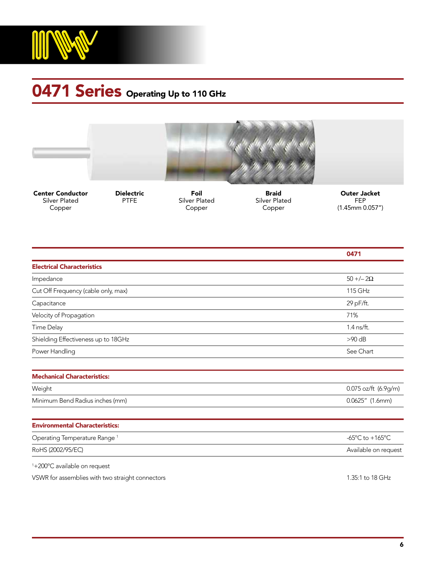

## **0471 Series** Operating Up to 110 GHz



Center Conductor Silver Plated Copper

Dielectric PTFE

Foil Silver Plated Copper

Braid Silver Plated Copper

Outer Jacket FEP (1.45mm 0.057")

|                                          | 0471                                                  |
|------------------------------------------|-------------------------------------------------------|
| <b>Electrical Characteristics</b>        |                                                       |
| Impedance                                | $50 + -2\Omega$                                       |
| Cut Off Frequency (cable only, max)      | 115 GHz                                               |
| Capacitance                              | 29 pF/ft.                                             |
| Velocity of Propagation                  | 71%                                                   |
| <b>Time Delay</b>                        | 1.4 ns/ft.                                            |
| Shielding Effectiveness up to 18GHz      | $>90$ dB                                              |
| Power Handling                           | See Chart                                             |
|                                          |                                                       |
| <b>Mechanical Characteristics:</b>       |                                                       |
| Weight                                   | 0.075 oz/ft (6.9g/m)                                  |
| Minimum Bend Radius inches (mm)          | 0.0625" (1.6mm)                                       |
| <b>Environmental Characteristics:</b>    |                                                       |
| Operating Temperature Range <sup>1</sup> | -65 $\mathrm{^{\circ}C}$ to +165 $\mathrm{^{\circ}C}$ |
| RoHS (2002/95/EC)                        | Available on request                                  |
| $1.00000 \times 111$                     |                                                       |

1 +200ºC available on request

VSWR for assemblies with two straight connectors and the straight connectors and the straight connectors of the straight connectors and the straight connectors and the straight connectors and the straight connectors and th